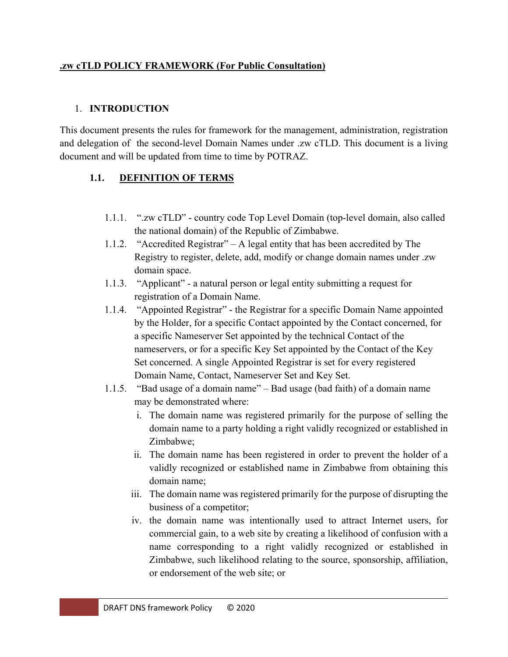#### **.zw cTLD POLICY FRAMEWORK (For Public Consultation)**

#### 1. **INTRODUCTION**

This document presents the rules for framework for the management, administration, registration and delegation of the second-level Domain Names under .zw cTLD. This document is a living document and will be updated from time to time by POTRAZ.

### **1.1. DEFINITION OF TERMS**

- 1.1.1. ".zw cTLD" country code Top Level Domain (top-level domain, also called the national domain) of the Republic of Zimbabwe.
- 1.1.2. "Accredited Registrar" A legal entity that has been accredited by The Registry to register, delete, add, modify or change domain names under .zw domain space.
- 1.1.3. "Applicant" a natural person or legal entity submitting a request for registration of a Domain Name.
- 1.1.4. "Appointed Registrar" the Registrar for a specific Domain Name appointed by the Holder, for a specific Contact appointed by the Contact concerned, for a specific Nameserver Set appointed by the technical Contact of the nameservers, or for a specific Key Set appointed by the Contact of the Key Set concerned. A single Appointed Registrar is set for every registered Domain Name, Contact, Nameserver Set and Key Set.
- 1.1.5. "Bad usage of a domain name" Bad usage (bad faith) of a domain name may be demonstrated where:
	- i. The domain name was registered primarily for the purpose of selling the domain name to a party holding a right validly recognized or established in Zimbabwe;
	- ii. The domain name has been registered in order to prevent the holder of a validly recognized or established name in Zimbabwe from obtaining this domain name;
	- iii. The domain name was registered primarily for the purpose of disrupting the business of a competitor;
	- iv. the domain name was intentionally used to attract Internet users, for commercial gain, to a web site by creating a likelihood of confusion with a name corresponding to a right validly recognized or established in Zimbabwe, such likelihood relating to the source, sponsorship, affiliation, or endorsement of the web site; or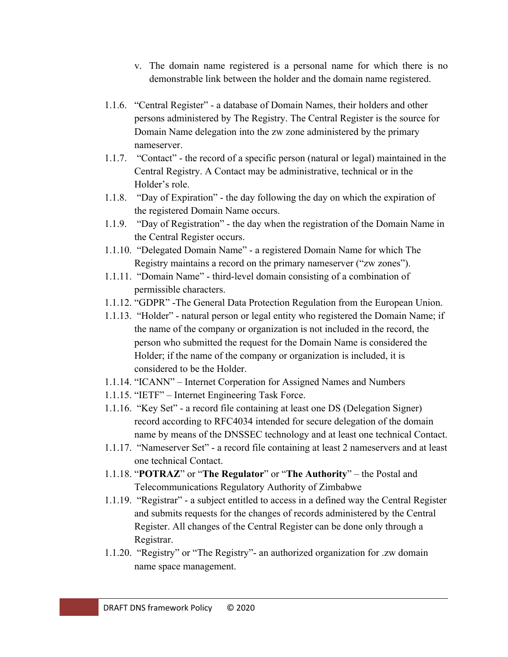- v. The domain name registered is a personal name for which there is no demonstrable link between the holder and the domain name registered.
- 1.1.6. "Central Register" a database of Domain Names, their holders and other persons administered by The Registry. The Central Register is the source for Domain Name delegation into the zw zone administered by the primary nameserver.
- 1.1.7. "Contact" the record of a specific person (natural or legal) maintained in the Central Registry. A Contact may be administrative, technical or in the Holder's role.
- 1.1.8. "Day of Expiration" the day following the day on which the expiration of the registered Domain Name occurs.
- 1.1.9. "Day of Registration" the day when the registration of the Domain Name in the Central Register occurs.
- 1.1.10. "Delegated Domain Name" a registered Domain Name for which The Registry maintains a record on the primary nameserver ("zw zones").
- 1.1.11. "Domain Name" third-level domain consisting of a combination of permissible characters.
- 1.1.12. "GDPR" -The General Data Protection Regulation from the European Union.
- 1.1.13. "Holder" natural person or legal entity who registered the Domain Name; if the name of the company or organization is not included in the record, the person who submitted the request for the Domain Name is considered the Holder; if the name of the company or organization is included, it is considered to be the Holder.
- 1.1.14. "ICANN" Internet Corperation for Assigned Names and Numbers
- 1.1.15. "IETF" Internet Engineering Task Force.
- 1.1.16. "Key Set" a record file containing at least one DS (Delegation Signer) record according to RFC4034 intended for secure delegation of the domain name by means of the DNSSEC technology and at least one technical Contact.
- 1.1.17. "Nameserver Set" a record file containing at least 2 nameservers and at least one technical Contact.
- 1.1.18. "**POTRAZ**" or "**The Regulator**" or "**The Authority**" the Postal and Telecommunications Regulatory Authority of Zimbabwe
- 1.1.19. "Registrar" a subject entitled to access in a defined way the Central Register and submits requests for the changes of records administered by the Central Register. All changes of the Central Register can be done only through a Registrar.
- 1.1.20. "Registry" or "The Registry"- an authorized organization for .zw domain name space management.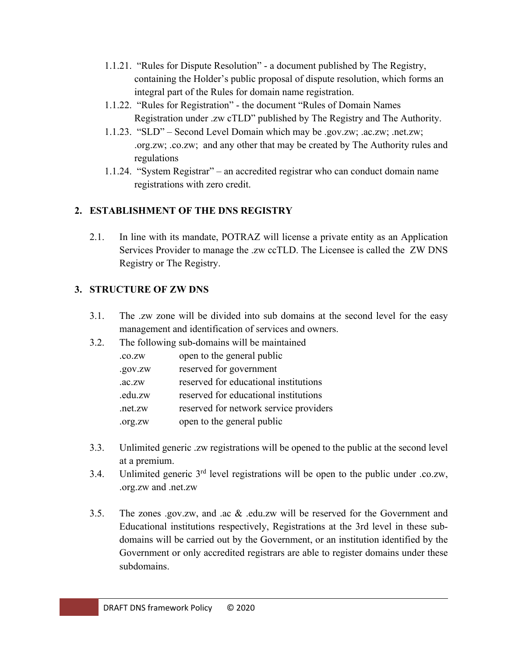- 1.1.21. "Rules for Dispute Resolution" a document published by The Registry, containing the Holder's public proposal of dispute resolution, which forms an integral part of the Rules for domain name registration.
- 1.1.22. "Rules for Registration" the document "Rules of Domain Names Registration under .zw cTLD" published by The Registry and The Authority.
- 1.1.23. "SLD" Second Level Domain which may be .gov.zw; .ac.zw; .net.zw; .org.zw; .co.zw; and any other that may be created by The Authority rules and regulations
- 1.1.24. "System Registrar" an accredited registrar who can conduct domain name registrations with zero credit.

# **2. ESTABLISHMENT OF THE DNS REGISTRY**

2.1. In line with its mandate, POTRAZ will license a private entity as an Application Services Provider to manage the .zw ccTLD. The Licensee is called the ZW DNS Registry or The Registry.

# **3. STRUCTURE OF ZW DNS**

- 3.1. The .zw zone will be divided into sub domains at the second level for the easy management and identification of services and owners.
- 3.2. The following sub-domains will be maintained

| .co.zw  | open to the general public             |
|---------|----------------------------------------|
| .gov.zw | reserved for government                |
| AC.ZW   | reserved for educational institutions  |
| .edu.zw | reserved for educational institutions  |
| .net.zw | reserved for network service providers |
| .org.zw | open to the general public             |

- 3.3. Unlimited generic .zw registrations will be opened to the public at the second level at a premium.
- 3.4. Unlimited generic  $3<sup>rd</sup>$  level registrations will be open to the public under .co.zw, .org.zw and .net.zw
- 3.5. The zones .gov.zw, and .ac & .edu.zw will be reserved for the Government and Educational institutions respectively, Registrations at the 3rd level in these subdomains will be carried out by the Government, or an institution identified by the Government or only accredited registrars are able to register domains under these subdomains.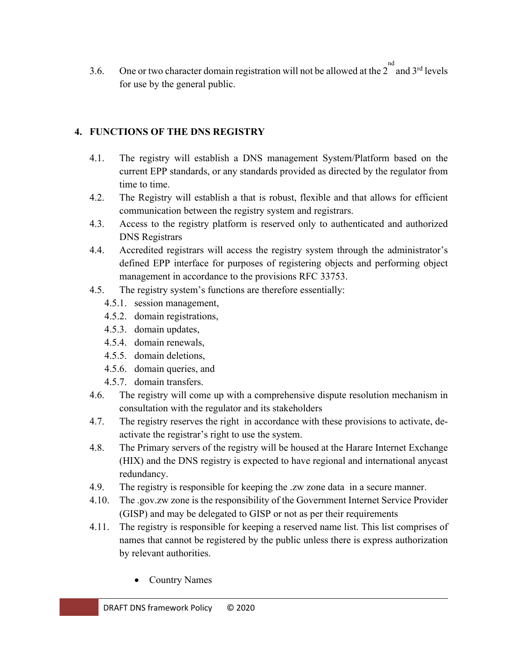3.6. One or two character domain registration will not be allowed at the  $2^{nd}$  and  $3^{rd}$  levels for use by the general public.

### **4. FUNCTIONS OF THE DNS REGISTRY**

- 4.1. The registry will establish a DNS management System/Platform based on the current EPP standards, or any standards provided as directed by the regulator from time to time.
- 4.2. The Registry will establish a that is robust, flexible and that allows for efficient communication between the registry system and registrars.
- 4.3. Access to the registry platform is reserved only to authenticated and authorized DNS Registrars
- 4.4. Accredited registrars will access the registry system through the administrator's defined EPP interface for purposes of registering objects and performing object management in accordance to the provisions RFC 33753.
- 4.5. The registry system's functions are therefore essentially:
	- 4.5.1. session management,
	- 4.5.2. domain registrations,
	- 4.5.3. domain updates,
	- 4.5.4. domain renewals,
	- 4.5.5. domain deletions,
	- 4.5.6. domain queries, and
	- 4.5.7. domain transfers.
- 4.6. The registry will come up with a comprehensive dispute resolution mechanism in consultation with the regulator and its stakeholders
- 4.7. The registry reserves the right in accordance with these provisions to activate, deactivate the registrar's right to use the system.
- 4.8. The Primary servers of the registry will be housed at the Harare Internet Exchange (HIX) and the DNS registry is expected to have regional and international anycast redundancy.
- 4.9. The registry is responsible for keeping the .zw zone data in a secure manner.
- 4.10. The .gov.zw zone is the responsibility of the Government Internet Service Provider (GISP) and may be delegated to GISP or not as per their requirements
- 4.11. The registry is responsible for keeping a reserved name list. This list comprises of names that cannot be registered by the public unless there is express authorization by relevant authorities.
	- Country Names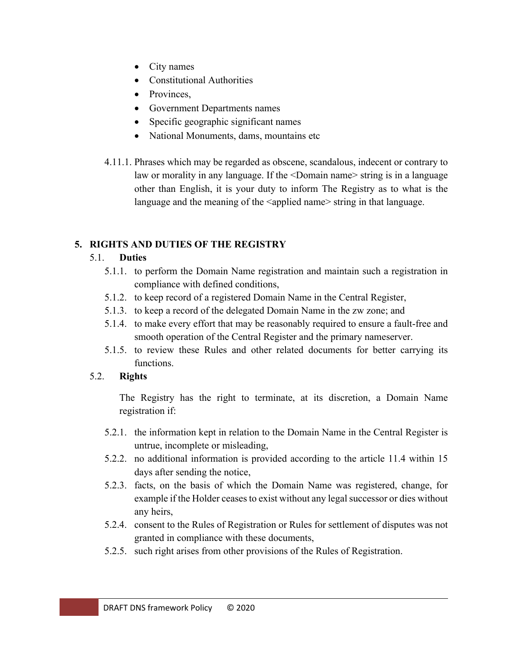- City names
- Constitutional Authorities
- Provinces.
- Government Departments names
- Specific geographic significant names
- National Monuments, dams, mountains etc
- 4.11.1. Phrases which may be regarded as obscene, scandalous, indecent or contrary to law or morality in any language. If the <Domain name> string is in a language other than English, it is your duty to inform The Registry as to what is the language and the meaning of the  $\alpha$  applied name string in that language.

# **5. RIGHTS AND DUTIES OF THE REGISTRY**

## 5.1. **Duties**

- 5.1.1. to perform the Domain Name registration and maintain such a registration in compliance with defined conditions,
- 5.1.2. to keep record of a registered Domain Name in the Central Register,
- 5.1.3. to keep a record of the delegated Domain Name in the zw zone; and
- 5.1.4. to make every effort that may be reasonably required to ensure a fault-free and smooth operation of the Central Register and the primary nameserver.
- 5.1.5. to review these Rules and other related documents for better carrying its functions.

# 5.2. **Rights**

The Registry has the right to terminate, at its discretion, a Domain Name registration if:

- 5.2.1. the information kept in relation to the Domain Name in the Central Register is untrue, incomplete or misleading,
- 5.2.2. no additional information is provided according to the article 11.4 within 15 days after sending the notice,
- 5.2.3. facts, on the basis of which the Domain Name was registered, change, for example if the Holder ceases to exist without any legal successor or dies without any heirs,
- 5.2.4. consent to the Rules of Registration or Rules for settlement of disputes was not granted in compliance with these documents,
- 5.2.5. such right arises from other provisions of the Rules of Registration.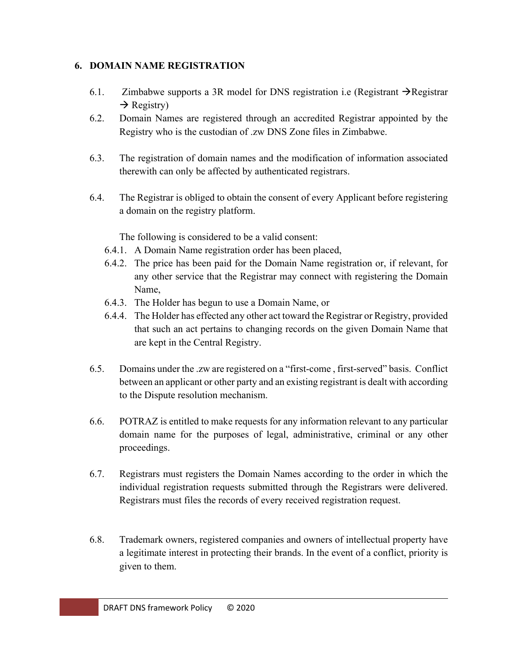#### **6. DOMAIN NAME REGISTRATION**

- 6.1. Zimbabwe supports a 3R model for DNS registration i.e (Registrant  $\rightarrow$ Registrar  $\rightarrow$  Registry)
- 6.2. Domain Names are registered through an accredited Registrar appointed by the Registry who is the custodian of .zw DNS Zone files in Zimbabwe.
- 6.3. The registration of domain names and the modification of information associated therewith can only be affected by authenticated registrars.
- 6.4. The Registrar is obliged to obtain the consent of every Applicant before registering a domain on the registry platform.

The following is considered to be a valid consent:

- 6.4.1. A Domain Name registration order has been placed,
- 6.4.2. The price has been paid for the Domain Name registration or, if relevant, for any other service that the Registrar may connect with registering the Domain Name,
- 6.4.3. The Holder has begun to use a Domain Name, or
- 6.4.4. The Holder has effected any other act toward the Registrar or Registry, provided that such an act pertains to changing records on the given Domain Name that are kept in the Central Registry.
- 6.5. Domains under the .zw are registered on a "first-come , first-served" basis. Conflict between an applicant or other party and an existing registrant is dealt with according to the Dispute resolution mechanism.
- 6.6. POTRAZ is entitled to make requests for any information relevant to any particular domain name for the purposes of legal, administrative, criminal or any other proceedings.
- 6.7. Registrars must registers the Domain Names according to the order in which the individual registration requests submitted through the Registrars were delivered. Registrars must files the records of every received registration request.
- 6.8. Trademark owners, registered companies and owners of intellectual property have a legitimate interest in protecting their brands. In the event of a conflict, priority is given to them.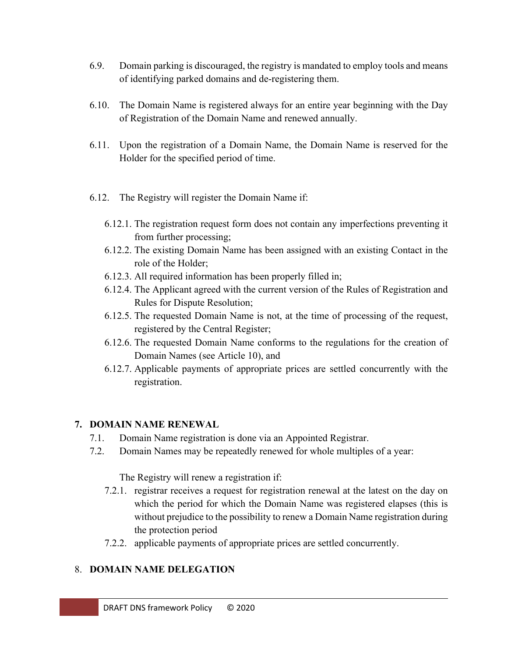- 6.9. Domain parking is discouraged, the registry is mandated to employ tools and means of identifying parked domains and de-registering them.
- 6.10. The Domain Name is registered always for an entire year beginning with the Day of Registration of the Domain Name and renewed annually.
- 6.11. Upon the registration of a Domain Name, the Domain Name is reserved for the Holder for the specified period of time.
- 6.12. The Registry will register the Domain Name if:
	- 6.12.1. The registration request form does not contain any imperfections preventing it from further processing;
	- 6.12.2. The existing Domain Name has been assigned with an existing Contact in the role of the Holder;
	- 6.12.3. All required information has been properly filled in;
	- 6.12.4. The Applicant agreed with the current version of the Rules of Registration and Rules for Dispute Resolution;
	- 6.12.5. The requested Domain Name is not, at the time of processing of the request, registered by the Central Register;
	- 6.12.6. The requested Domain Name conforms to the regulations for the creation of Domain Names (see Article 10), and
	- 6.12.7. Applicable payments of appropriate prices are settled concurrently with the registration.

### **7. DOMAIN NAME RENEWAL**

- 7.1. Domain Name registration is done via an Appointed Registrar.
- 7.2. Domain Names may be repeatedly renewed for whole multiples of a year:

The Registry will renew a registration if:

- 7.2.1. registrar receives a request for registration renewal at the latest on the day on which the period for which the Domain Name was registered elapses (this is without prejudice to the possibility to renew a Domain Name registration during the protection period
- 7.2.2. applicable payments of appropriate prices are settled concurrently.

### 8. **DOMAIN NAME DELEGATION**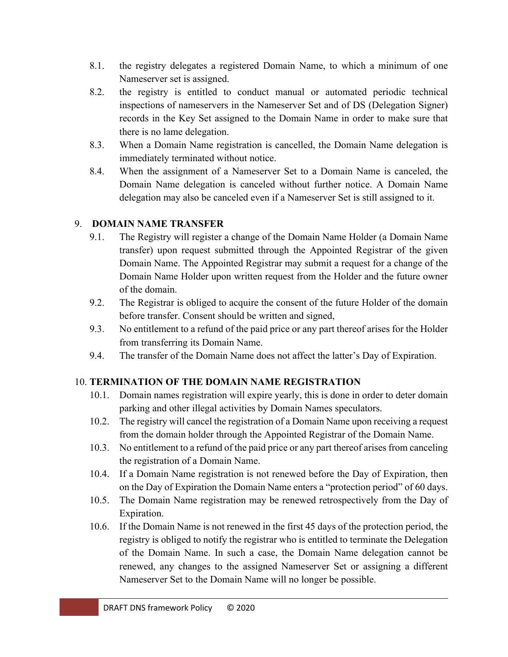- 8.1. the registry delegates a registered Domain Name, to which a minimum of one Nameserver set is assigned.
- 8.2. the registry is entitled to conduct manual or automated periodic technical inspections of nameservers in the Nameserver Set and of DS (Delegation Signer) records in the Key Set assigned to the Domain Name in order to make sure that there is no lame delegation.
- 8.3. When a Domain Name registration is cancelled, the Domain Name delegation is immediately terminated without notice.
- 8.4. When the assignment of a Nameserver Set to a Domain Name is canceled, the Domain Name delegation is canceled without further notice. A Domain Name delegation may also be canceled even if a Nameserver Set is still assigned to it.

### 9. **DOMAIN NAME TRANSFER**

- 9.1. The Registry will register a change of the Domain Name Holder (a Domain Name transfer) upon request submitted through the Appointed Registrar of the given Domain Name. The Appointed Registrar may submit a request for a change of the Domain Name Holder upon written request from the Holder and the future owner of the domain.
- 9.2. The Registrar is obliged to acquire the consent of the future Holder of the domain before transfer. Consent should be written and signed,
- 9.3. No entitlement to a refund of the paid price or any part thereof arises for the Holder from transferring its Domain Name.
- 9.4. The transfer of the Domain Name does not affect the latter's Day of Expiration.

### 10. **TERMINATION OF THE DOMAIN NAME REGISTRATION**

- 10.1. Domain names registration will expire yearly, this is done in order to deter domain parking and other illegal activities by Domain Names speculators.
- 10.2. The registry will cancel the registration of a Domain Name upon receiving a request from the domain holder through the Appointed Registrar of the Domain Name.
- 10.3. No entitlement to a refund of the paid price or any part thereof arises from canceling the registration of a Domain Name.
- 10.4. If a Domain Name registration is not renewed before the Day of Expiration, then on the Day of Expiration the Domain Name enters a "protection period" of 60 days.
- 10.5. The Domain Name registration may be renewed retrospectively from the Day of Expiration.
- 10.6. If the Domain Name is not renewed in the first 45 days of the protection period, the registry is obliged to notify the registrar who is entitled to terminate the Delegation of the Domain Name. In such a case, the Domain Name delegation cannot be renewed, any changes to the assigned Nameserver Set or assigning a different Nameserver Set to the Domain Name will no longer be possible.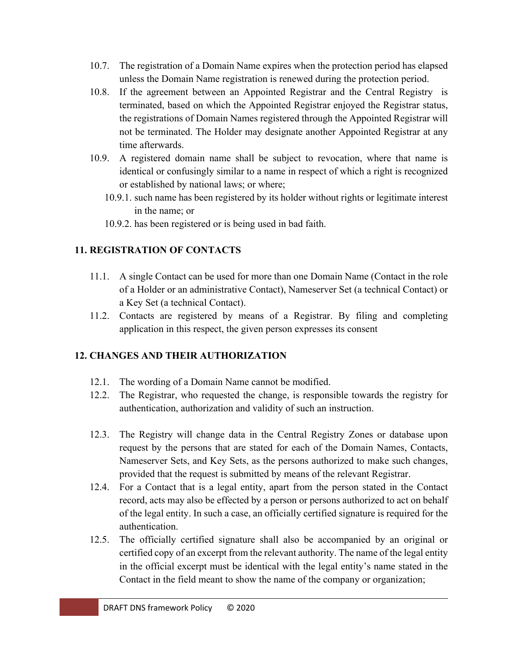- 10.7. The registration of a Domain Name expires when the protection period has elapsed unless the Domain Name registration is renewed during the protection period.
- 10.8. If the agreement between an Appointed Registrar and the Central Registry is terminated, based on which the Appointed Registrar enjoyed the Registrar status, the registrations of Domain Names registered through the Appointed Registrar will not be terminated. The Holder may designate another Appointed Registrar at any time afterwards.
- 10.9. A registered domain name shall be subject to revocation, where that name is identical or confusingly similar to a name in respect of which a right is recognized or established by national laws; or where;
	- 10.9.1. such name has been registered by its holder without rights or legitimate interest in the name; or
	- 10.9.2. has been registered or is being used in bad faith.

### **11. REGISTRATION OF CONTACTS**

- 11.1. A single Contact can be used for more than one Domain Name (Contact in the role of a Holder or an administrative Contact), Nameserver Set (a technical Contact) or a Key Set (a technical Contact).
- 11.2. Contacts are registered by means of a Registrar. By filing and completing application in this respect, the given person expresses its consent

# **12. CHANGES AND THEIR AUTHORIZATION**

- 12.1. The wording of a Domain Name cannot be modified.
- 12.2. The Registrar, who requested the change, is responsible towards the registry for authentication, authorization and validity of such an instruction.
- 12.3. The Registry will change data in the Central Registry Zones or database upon request by the persons that are stated for each of the Domain Names, Contacts, Nameserver Sets, and Key Sets, as the persons authorized to make such changes, provided that the request is submitted by means of the relevant Registrar.
- 12.4. For a Contact that is a legal entity, apart from the person stated in the Contact record, acts may also be effected by a person or persons authorized to act on behalf of the legal entity. In such a case, an officially certified signature is required for the authentication.
- 12.5. The officially certified signature shall also be accompanied by an original or certified copy of an excerpt from the relevant authority. The name of the legal entity in the official excerpt must be identical with the legal entity's name stated in the Contact in the field meant to show the name of the company or organization;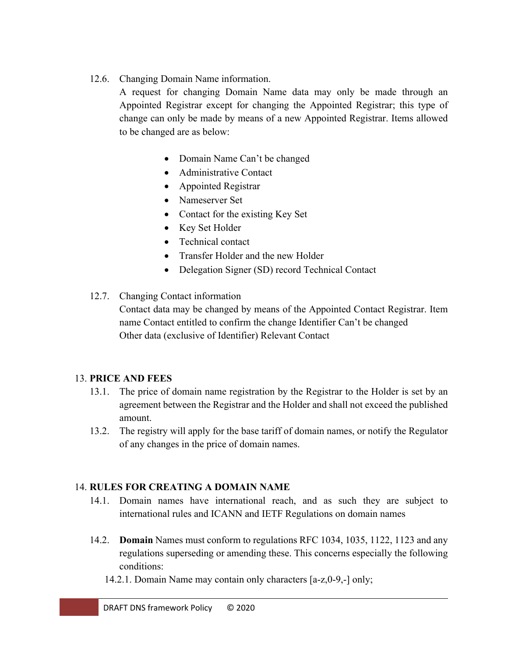12.6. Changing Domain Name information.

A request for changing Domain Name data may only be made through an Appointed Registrar except for changing the Appointed Registrar; this type of change can only be made by means of a new Appointed Registrar. Items allowed to be changed are as below:

- Domain Name Can't be changed
- Administrative Contact
- Appointed Registrar
- Nameserver Set
- Contact for the existing Key Set
- Key Set Holder
- Technical contact
- Transfer Holder and the new Holder
- Delegation Signer (SD) record Technical Contact
- 12.7. Changing Contact information

Contact data may be changed by means of the Appointed Contact Registrar. Item name Contact entitled to confirm the change Identifier Can't be changed Other data (exclusive of Identifier) Relevant Contact

#### 13. **PRICE AND FEES**

- 13.1. The price of domain name registration by the Registrar to the Holder is set by an agreement between the Registrar and the Holder and shall not exceed the published amount.
- 13.2. The registry will apply for the base tariff of domain names, or notify the Regulator of any changes in the price of domain names.

#### 14. **RULES FOR CREATING A DOMAIN NAME**

- 14.1. Domain names have international reach, and as such they are subject to international rules and ICANN and IETF Regulations on domain names
- 14.2. **Domain** Names must conform to regulations RFC 1034, 1035, 1122, 1123 and any regulations superseding or amending these. This concerns especially the following conditions:
	- 14.2.1. Domain Name may contain only characters [a-z,0-9,-] only;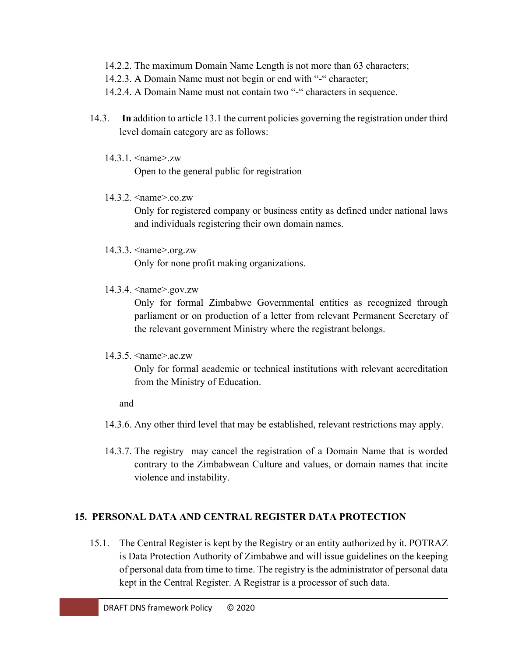- 14.2.2. The maximum Domain Name Length is not more than 63 characters;
- 14.2.3. A Domain Name must not begin or end with "-" character;
- 14.2.4. A Domain Name must not contain two "-" characters in sequence.
- 14.3. **In** addition to article 13.1 the current policies governing the registration under third level domain category are as follows:
	- 14.3.1. <name>.zw

Open to the general public for registration

14.3.2. <mame>.co.zw

Only for registered company or business entity as defined under national laws and individuals registering their own domain names.

14.3.3. <name>.org.zw

Only for none profit making organizations.

14.3.4. <name>.gov.zw

Only for formal Zimbabwe Governmental entities as recognized through parliament or on production of a letter from relevant Permanent Secretary of the relevant government Ministry where the registrant belongs.

14.3.5. <name>.ac.zw

Only for formal academic or technical institutions with relevant accreditation from the Ministry of Education.

and

- 14.3.6. Any other third level that may be established, relevant restrictions may apply.
- 14.3.7. The registry may cancel the registration of a Domain Name that is worded contrary to the Zimbabwean Culture and values, or domain names that incite violence and instability.

### **15. PERSONAL DATA AND CENTRAL REGISTER DATA PROTECTION**

15.1. The Central Register is kept by the Registry or an entity authorized by it. POTRAZ is Data Protection Authority of Zimbabwe and will issue guidelines on the keeping of personal data from time to time. The registry is the administrator of personal data kept in the Central Register. A Registrar is a processor of such data.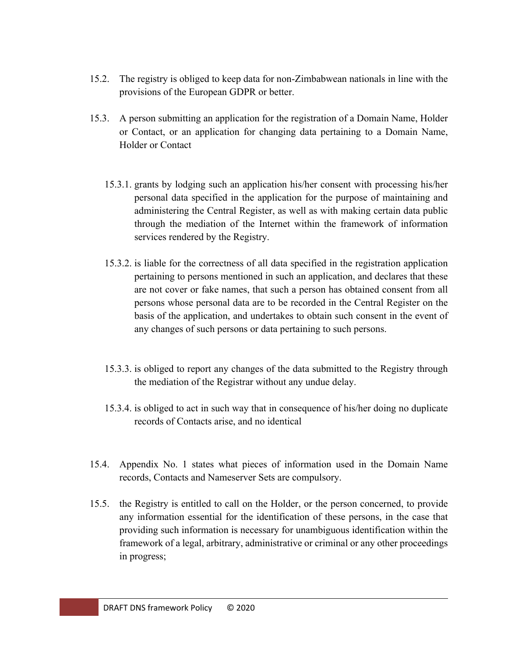- 15.2. The registry is obliged to keep data for non-Zimbabwean nationals in line with the provisions of the European GDPR or better.
- 15.3. A person submitting an application for the registration of a Domain Name, Holder or Contact, or an application for changing data pertaining to a Domain Name, Holder or Contact
	- 15.3.1. grants by lodging such an application his/her consent with processing his/her personal data specified in the application for the purpose of maintaining and administering the Central Register, as well as with making certain data public through the mediation of the Internet within the framework of information services rendered by the Registry.
	- 15.3.2. is liable for the correctness of all data specified in the registration application pertaining to persons mentioned in such an application, and declares that these are not cover or fake names, that such a person has obtained consent from all persons whose personal data are to be recorded in the Central Register on the basis of the application, and undertakes to obtain such consent in the event of any changes of such persons or data pertaining to such persons.
	- 15.3.3. is obliged to report any changes of the data submitted to the Registry through the mediation of the Registrar without any undue delay.
	- 15.3.4. is obliged to act in such way that in consequence of his/her doing no duplicate records of Contacts arise, and no identical
- 15.4. Appendix No. 1 states what pieces of information used in the Domain Name records, Contacts and Nameserver Sets are compulsory.
- 15.5. the Registry is entitled to call on the Holder, or the person concerned, to provide any information essential for the identification of these persons, in the case that providing such information is necessary for unambiguous identification within the framework of a legal, arbitrary, administrative or criminal or any other proceedings in progress;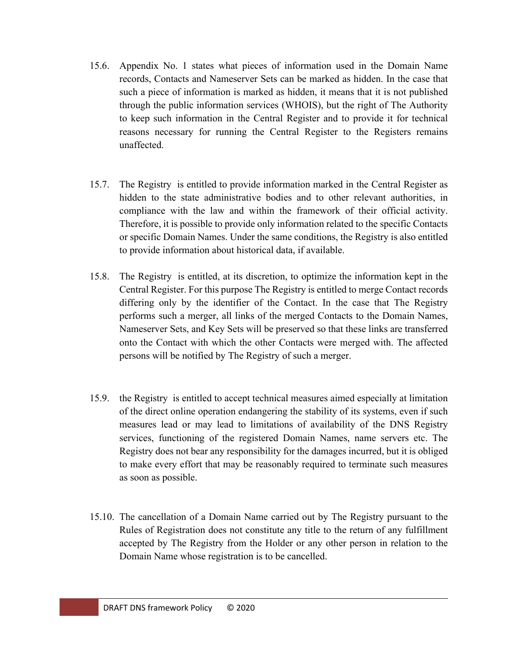- 15.6. Appendix No. 1 states what pieces of information used in the Domain Name records, Contacts and Nameserver Sets can be marked as hidden. In the case that such a piece of information is marked as hidden, it means that it is not published through the public information services (WHOIS), but the right of The Authority to keep such information in the Central Register and to provide it for technical reasons necessary for running the Central Register to the Registers remains unaffected.
- 15.7. The Registry is entitled to provide information marked in the Central Register as hidden to the state administrative bodies and to other relevant authorities, in compliance with the law and within the framework of their official activity. Therefore, it is possible to provide only information related to the specific Contacts or specific Domain Names. Under the same conditions, the Registry is also entitled to provide information about historical data, if available.
- 15.8. The Registry is entitled, at its discretion, to optimize the information kept in the Central Register. For this purpose The Registry is entitled to merge Contact records differing only by the identifier of the Contact. In the case that The Registry performs such a merger, all links of the merged Contacts to the Domain Names, Nameserver Sets, and Key Sets will be preserved so that these links are transferred onto the Contact with which the other Contacts were merged with. The affected persons will be notified by The Registry of such a merger.
- 15.9. the Registry is entitled to accept technical measures aimed especially at limitation of the direct online operation endangering the stability of its systems, even if such measures lead or may lead to limitations of availability of the DNS Registry services, functioning of the registered Domain Names, name servers etc. The Registry does not bear any responsibility for the damages incurred, but it is obliged to make every effort that may be reasonably required to terminate such measures as soon as possible.
- 15.10. The cancellation of a Domain Name carried out by The Registry pursuant to the Rules of Registration does not constitute any title to the return of any fulfillment accepted by The Registry from the Holder or any other person in relation to the Domain Name whose registration is to be cancelled.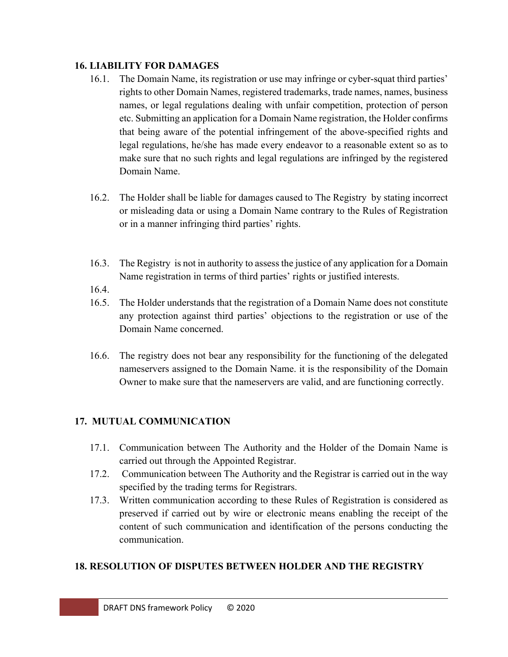#### **16. LIABILITY FOR DAMAGES**

- 16.1. The Domain Name, its registration or use may infringe or cyber-squat third parties' rights to other Domain Names, registered trademarks, trade names, names, business names, or legal regulations dealing with unfair competition, protection of person etc. Submitting an application for a Domain Name registration, the Holder confirms that being aware of the potential infringement of the above-specified rights and legal regulations, he/she has made every endeavor to a reasonable extent so as to make sure that no such rights and legal regulations are infringed by the registered Domain Name.
- 16.2. The Holder shall be liable for damages caused to The Registry by stating incorrect or misleading data or using a Domain Name contrary to the Rules of Registration or in a manner infringing third parties' rights.
- 16.3. The Registry is not in authority to assess the justice of any application for a Domain Name registration in terms of third parties' rights or justified interests.
- 16.4.
- 16.5. The Holder understands that the registration of a Domain Name does not constitute any protection against third parties' objections to the registration or use of the Domain Name concerned.
- 16.6. The registry does not bear any responsibility for the functioning of the delegated nameservers assigned to the Domain Name. it is the responsibility of the Domain Owner to make sure that the nameservers are valid, and are functioning correctly.

### **17. MUTUAL COMMUNICATION**

- 17.1. Communication between The Authority and the Holder of the Domain Name is carried out through the Appointed Registrar.
- 17.2. Communication between The Authority and the Registrar is carried out in the way specified by the trading terms for Registrars.
- 17.3. Written communication according to these Rules of Registration is considered as preserved if carried out by wire or electronic means enabling the receipt of the content of such communication and identification of the persons conducting the communication.

# **18. RESOLUTION OF DISPUTES BETWEEN HOLDER AND THE REGISTRY**